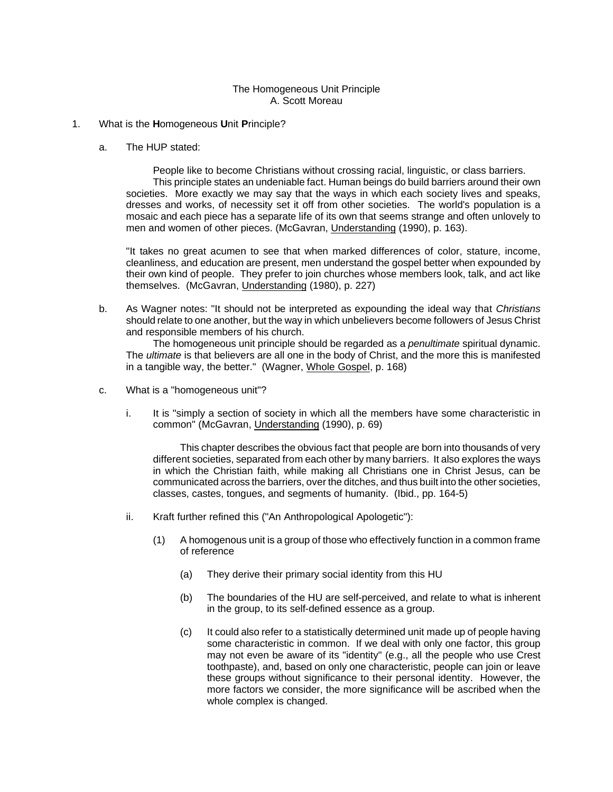## The Homogeneous Unit Principle A. Scott Moreau

- 1. What is the **H**omogeneous **U**nit **P**rinciple?
	- a. The HUP stated:

People like to become Christians without crossing racial, linguistic, or class barriers. This principle states an undeniable fact. Human beings do build barriers around their own societies. More exactly we may say that the ways in which each society lives and speaks, dresses and works, of necessity set it off from other societies. The world's population is a mosaic and each piece has a separate life of its own that seems strange and often unlovely to men and women of other pieces. (McGavran, Understanding (1990), p. 163).

"It takes no great acumen to see that when marked differences of color, stature, income, cleanliness, and education are present, men understand the gospel better when expounded by their own kind of people. They prefer to join churches whose members look, talk, and act like themselves. (McGavran, Understanding (1980), p. 227)

b. As Wagner notes: "It should not be interpreted as expounding the ideal way that *Christians* should relate to one another, but the way in which unbelievers become followers of Jesus Christ and responsible members of his church.

The homogeneous unit principle should be regarded as a *penultimate* spiritual dynamic. The *ultimate* is that believers are all one in the body of Christ, and the more this is manifested in a tangible way, the better." (Wagner, Whole Gospel, p. 168)

- c. What is a "homogeneous unit"?
	- i. It is "simply a section of society in which all the members have some characteristic in common" (McGavran, Understanding (1990), p. 69)

This chapter describes the obvious fact that people are born into thousands of very different societies, separated from each other by many barriers. It also explores the ways in which the Christian faith, while making all Christians one in Christ Jesus, can be communicated across the barriers, over the ditches, and thus built into the other societies, classes, castes, tongues, and segments of humanity. (Ibid., pp. 164-5)

- ii. Kraft further refined this ("An Anthropological Apologetic"):
	- (1) A homogenous unit is a group of those who effectively function in a common frame of reference
		- (a) They derive their primary social identity from this HU
		- (b) The boundaries of the HU are self-perceived, and relate to what is inherent in the group, to its self-defined essence as a group.
		- (c) It could also refer to a statistically determined unit made up of people having some characteristic in common. If we deal with only one factor, this group may not even be aware of its "identity" (e.g., all the people who use Crest toothpaste), and, based on only one characteristic, people can join or leave these groups without significance to their personal identity. However, the more factors we consider, the more significance will be ascribed when the whole complex is changed.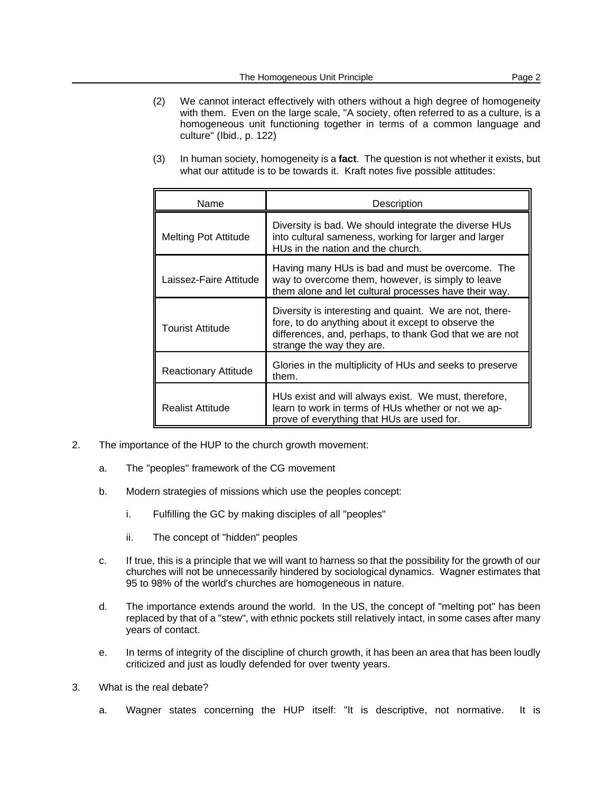- (2) We cannot interact effectively with others without a high degree of homogeneity with them. Even on the large scale, "A society, often referred to as a culture, is a homogeneous unit functioning together in terms of a common language and culture" (Ibid., p. 122)
- (3) In human society, homogeneity is a **fact**. The question is not whether it exists, but what our attitude is to be towards it. Kraft notes five possible attitudes:

| Name                        | Description                                                                                                                                                                                            |  |
|-----------------------------|--------------------------------------------------------------------------------------------------------------------------------------------------------------------------------------------------------|--|
| <b>Melting Pot Attitude</b> | Diversity is bad. We should integrate the diverse HUs<br>into cultural sameness, working for larger and larger<br>HUs in the nation and the church.                                                    |  |
| Laissez-Faire Attitude      | Having many HUs is bad and must be overcome. The<br>way to overcome them, however, is simply to leave<br>them alone and let cultural processes have their way.                                         |  |
| Tourist Attitude            | Diversity is interesting and quaint. We are not, there-<br>fore, to do anything about it except to observe the<br>differences, and, perhaps, to thank God that we are not<br>strange the way they are. |  |
| <b>Reactionary Attitude</b> | Glories in the multiplicity of HUs and seeks to preserve<br>them.                                                                                                                                      |  |
| <b>Realist Attitude</b>     | HUs exist and will always exist. We must, therefore,<br>learn to work in terms of HUs whether or not we ap-<br>prove of everything that HUs are used for.                                              |  |

- 2. The importance of the HUP to the church growth movement:
	- a. The "peoples" framework of the CG movement
	- b. Modern strategies of missions which use the peoples concept:
		- i. Fulfilling the GC by making disciples of all "peoples"
		- ii. The concept of "hidden" peoples
	- c. If true, this is a principle that we will want to harness so that the possibility for the growth of our churches will not be unnecessarily hindered by sociological dynamics. Wagner estimates that 95 to 98% of the world's churches are homogeneous in nature.
	- d. The importance extends around the world. In the US, the concept of "melting pot" has been replaced by that of a "stew", with ethnic pockets still relatively intact, in some cases after many years of contact.
	- e. In terms of integrity of the discipline of church growth, it has been an area that has been loudly criticized and just as loudly defended for over twenty years.
- 3. What is the real debate?
	- a. Wagner states concerning the HUP itself: "It is descriptive, not normative. It is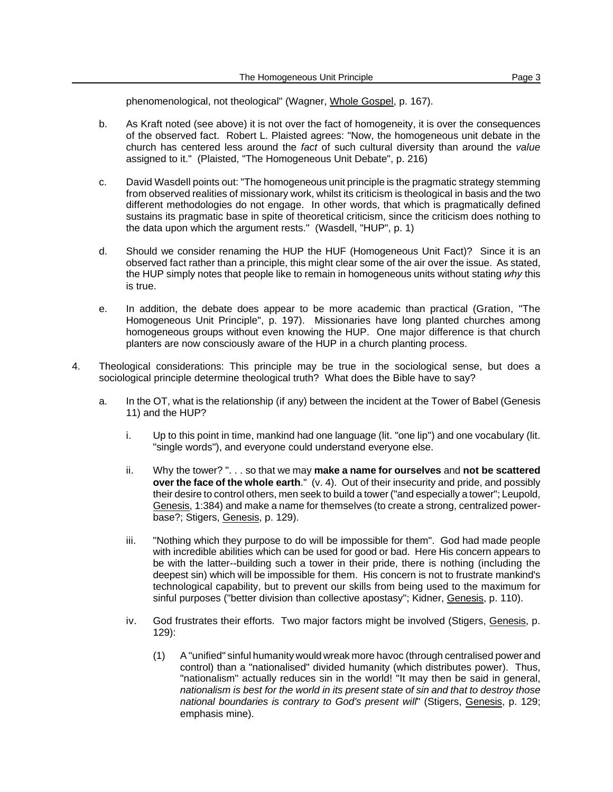phenomenological, not theological" (Wagner, Whole Gospel, p. 167).

- b. As Kraft noted (see above) it is not over the fact of homogeneity, it is over the consequences of the observed fact. Robert L. Plaisted agrees: "Now, the homogeneous unit debate in the church has centered less around the *fact* of such cultural diversity than around the *value* assigned to it." (Plaisted, "The Homogeneous Unit Debate", p. 216)
- c. David Wasdell points out: "The homogeneous unit principle is the pragmatic strategy stemming from observed realities of missionary work, whilst its criticism is theological in basis and the two different methodologies do not engage. In other words, that which is pragmatically defined sustains its pragmatic base in spite of theoretical criticism, since the criticism does nothing to the data upon which the argument rests." (Wasdell, "HUP", p. 1)
- d. Should we consider renaming the HUP the HUF (Homogeneous Unit Fact)? Since it is an observed fact rather than a principle, this might clear some of the air over the issue. As stated, the HUP simply notes that people like to remain in homogeneous units without stating *why* this is true.
- e. In addition, the debate does appear to be more academic than practical (Gration, "The Homogeneous Unit Principle", p. 197). Missionaries have long planted churches among homogeneous groups without even knowing the HUP. One major difference is that church planters are now consciously aware of the HUP in a church planting process.
- 4. Theological considerations: This principle may be true in the sociological sense, but does a sociological principle determine theological truth? What does the Bible have to say?
	- a. In the OT, what is the relationship (if any) between the incident at the Tower of Babel (Genesis 11) and the HUP?
		- i. Up to this point in time, mankind had one language (lit. "one lip") and one vocabulary (lit. "single words"), and everyone could understand everyone else.
		- ii. Why the tower? ". . . so that we may **make a name for ourselves** and **not be scattered over the face of the whole earth**." (v. 4). Out of their insecurity and pride, and possibly their desire to control others, men seek to build a tower ("and especially a tower"; Leupold, Genesis, 1:384) and make a name for themselves (to create a strong, centralized powerbase?; Stigers, Genesis, p. 129).
		- iii. "Nothing which they purpose to do will be impossible for them". God had made people with incredible abilities which can be used for good or bad. Here His concern appears to be with the latter--building such a tower in their pride, there is nothing (including the deepest sin) which will be impossible for them. His concern is not to frustrate mankind's technological capability, but to prevent our skills from being used to the maximum for sinful purposes ("better division than collective apostasy"; Kidner, Genesis, p. 110).
		- iv. God frustrates their efforts. Two major factors might be involved (Stigers, Genesis, p. 129):
			- (1) A"unified" sinful humanity would wreak more havoc (through centralised power and control) than a "nationalised" divided humanity (which distributes power). Thus, "nationalism" actually reduces sin in the world! "It may then be said in general, *nationalism is best for the world in its present state of sin and that to destroy those national boundaries is contrary to God's present will*" (Stigers, Genesis, p. 129; emphasis mine).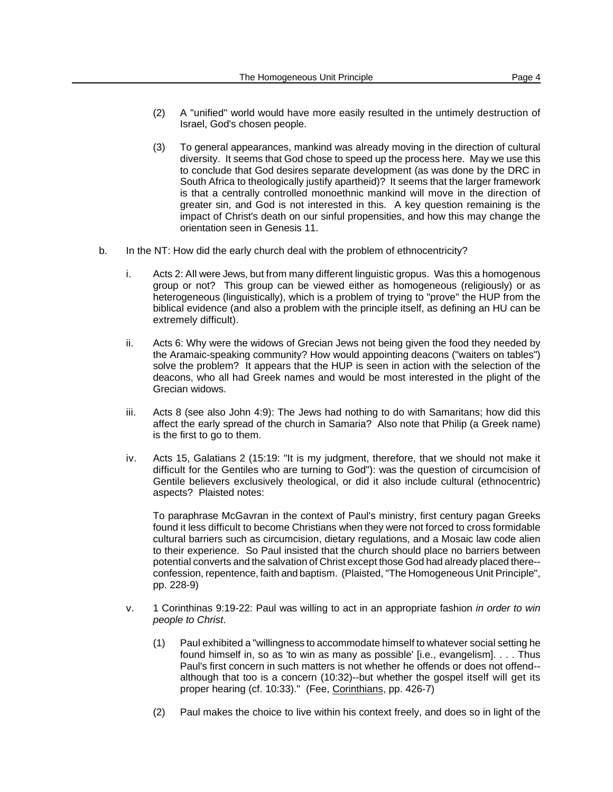- (2) A "unified" world would have more easily resulted in the untimely destruction of Israel, God's chosen people.
- (3) To general appearances, mankind was already moving in the direction of cultural diversity. It seems that God chose to speed up the process here. May we use this to conclude that God desires separate development (as was done by the DRC in South Africa to theologically justify apartheid)? It seems that the larger framework is that a centrally controlled monoethnic mankind will move in the direction of greater sin, and God is not interested in this. A key question remaining is the impact of Christ's death on our sinful propensities, and how this may change the orientation seen in Genesis 11.
- b. In the NT: How did the early church deal with the problem of ethnocentricity?
	- i. Acts 2: All were Jews, but from many different linguistic gropus. Was this a homogenous group or not? This group can be viewed either as homogeneous (religiously) or as heterogeneous (linguistically), which is a problem of trying to "prove" the HUP from the biblical evidence (and also a problem with the principle itself, as defining an HU can be extremely difficult).
	- ii. Acts 6: Why were the widows of Grecian Jews not being given the food they needed by the Aramaic-speaking community? How would appointing deacons ("waiters on tables") solve the problem? It appears that the HUP is seen in action with the selection of the deacons, who all had Greek names and would be most interested in the plight of the Grecian widows.
	- iii. Acts 8 (see also John 4:9): The Jews had nothing to do with Samaritans; how did this affect the early spread of the church in Samaria? Also note that Philip (a Greek name) is the first to go to them.
	- iv. Acts 15, Galatians 2 (15:19: "It is my judgment, therefore, that we should not make it difficult for the Gentiles who are turning to God"): was the question of circumcision of Gentile believers exclusively theological, or did it also include cultural (ethnocentric) aspects? Plaisted notes:

To paraphrase McGavran in the context of Paul's ministry, first century pagan Greeks found it less difficult to become Christians when they were not forced to cross formidable cultural barriers such as circumcision, dietary regulations, and a Mosaic law code alien to their experience. So Paul insisted that the church should place no barriers between potential converts and the salvation of Christ except those God had already placed there- confession, repentence, faith and baptism. (Plaisted, "The Homogeneous Unit Principle", pp. 228-9)

- v. 1 Corinthinas 9:19-22: Paul was willing to act in an appropriate fashion *in order to win people to Christ*.
	- (1) Paul exhibited a "willingness to accommodate himself to whatever social setting he found himself in, so as 'to win as many as possible' [i.e., evangelism]. . . . Thus Paul's first concern in such matters is not whether he offends or does not offend- although that too is a concern (10:32)--but whether the gospel itself will get its proper hearing (cf. 10:33)." (Fee, Corinthians, pp. 426-7)
	- (2) Paul makes the choice to live within his context freely, and does so in light of the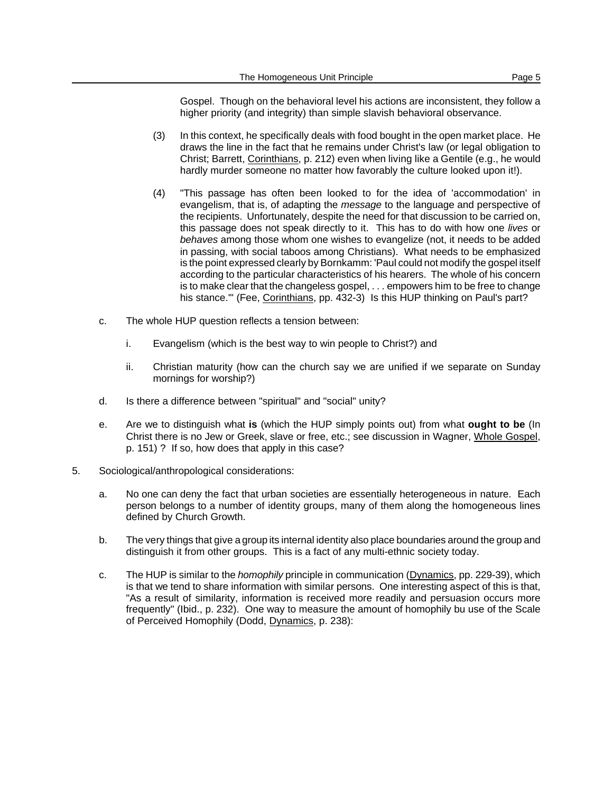Gospel. Though on the behavioral level his actions are inconsistent, they follow a higher priority (and integrity) than simple slavish behavioral observance.

- (3) In this context, he specifically deals with food bought in the open market place. He draws the line in the fact that he remains under Christ's law (or legal obligation to Christ; Barrett, Corinthians, p. 212) even when living like a Gentile (e.g., he would hardly murder someone no matter how favorably the culture looked upon it!).
- (4) "This passage has often been looked to for the idea of 'accommodation' in evangelism, that is, of adapting the *message* to the language and perspective of the recipients. Unfortunately, despite the need for that discussion to be carried on, this passage does not speak directly to it. This has to do with how one *lives* or *behaves* among those whom one wishes to evangelize (not, it needs to be added in passing, with social taboos among Christians). What needs to be emphasized is the point expressed clearly by Bornkamm: 'Paul could not modify the gospel itself according to the particular characteristics of his hearers. The whole of his concern is to make clear that the changeless gospel, . . . empowers him to be free to change his stance." (Fee, Corinthians, pp. 432-3) Is this HUP thinking on Paul's part?
- c. The whole HUP question reflects a tension between:
	- i. Evangelism (which is the best way to win people to Christ?) and
	- ii. Christian maturity (how can the church say we are unified if we separate on Sunday mornings for worship?)
- d. Is there a difference between "spiritual" and "social" unity?
- e. Are we to distinguish what **is** (which the HUP simply points out) from what **ought to be** (In Christ there is no Jew or Greek, slave or free, etc.; see discussion in Wagner, Whole Gospel, p. 151) ? If so, how does that apply in this case?
- 5. Sociological/anthropological considerations:
	- a. No one can deny the fact that urban societies are essentially heterogeneous in nature. Each person belongs to a number of identity groups, many of them along the homogeneous lines defined by Church Growth.
	- b. The very things that give a group its internal identity also place boundaries around the group and distinguish it from other groups. This is a fact of any multi-ethnic society today.
	- c. The HUP is similar to the *homophily* principle in communication (Dynamics, pp. 229-39), which is that we tend to share information with similar persons. One interesting aspect of this is that, "As a result of similarity, information is received more readily and persuasion occurs more frequently" (Ibid., p. 232). One way to measure the amount of homophily bu use of the Scale of Perceived Homophily (Dodd, Dynamics, p. 238):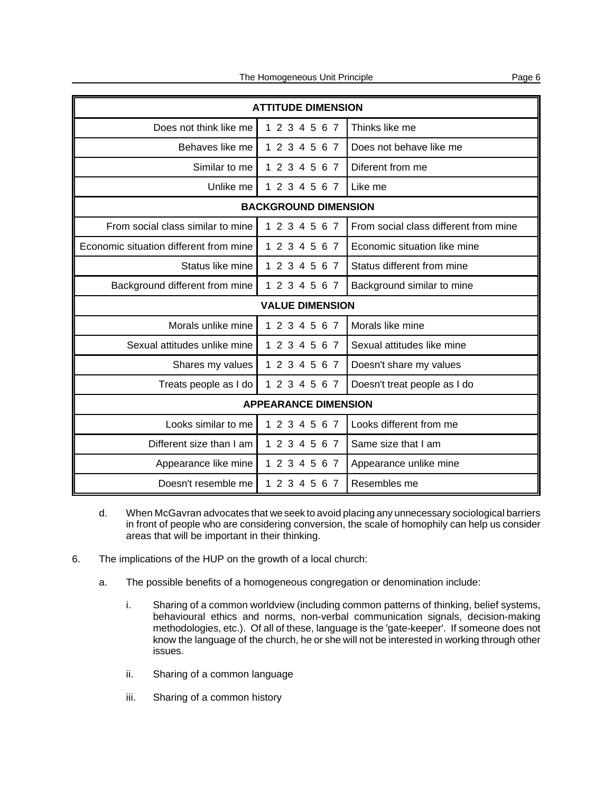| <b>ATTITUDE DIMENSION</b>              |               |                                       |  |
|----------------------------------------|---------------|---------------------------------------|--|
| Does not think like me                 | 1 2 3 4 5 6 7 | Thinks like me                        |  |
| Behaves like me                        | 1 2 3 4 5 6 7 | Does not behave like me               |  |
| Similar to me                          | 1 2 3 4 5 6 7 | Diferent from me                      |  |
| Unlike me                              | 1 2 3 4 5 6 7 | Like me                               |  |
| <b>BACKGROUND DIMENSION</b>            |               |                                       |  |
| From social class similar to mine      | 1 2 3 4 5 6 7 | From social class different from mine |  |
| Economic situation different from mine | 1 2 3 4 5 6 7 | Economic situation like mine          |  |
| Status like mine                       | 1 2 3 4 5 6 7 | Status different from mine            |  |
| Background different from mine         | 1 2 3 4 5 6 7 | Background similar to mine            |  |
| <b>VALUE DIMENSION</b>                 |               |                                       |  |
| Morals unlike mine                     | 1 2 3 4 5 6 7 | Morals like mine                      |  |
| Sexual attitudes unlike mine           | 1 2 3 4 5 6 7 | Sexual attitudes like mine            |  |
| Shares my values                       | 1 2 3 4 5 6 7 | Doesn't share my values               |  |
| Treats people as I do                  | 1 2 3 4 5 6 7 | Doesn't treat people as I do          |  |
| <b>APPEARANCE DIMENSION</b>            |               |                                       |  |
| Looks similar to me                    | 1 2 3 4 5 6 7 | Looks different from me               |  |
| Different size than I am               | 1 2 3 4 5 6 7 | Same size that I am                   |  |
| Appearance like mine                   | 1 2 3 4 5 6 7 | Appearance unlike mine                |  |
| Doesn't resemble me                    | 1 2 3 4 5 6 7 | Resembles me                          |  |

- d. When McGavran advocates that we seek to avoid placing any unnecessary sociological barriers in front of people who are considering conversion, the scale of homophily can help us consider areas that will be important in their thinking.
- 6. The implications of the HUP on the growth of a local church:
	- a. The possible benefits of a homogeneous congregation or denomination include:
		- i. Sharing of a common worldview (including common patterns of thinking, belief systems, behavioural ethics and norms, non-verbal communication signals, decision-making methodologies, etc.). Of all of these, language is the 'gate-keeper'. If someone does not know the language of the church, he or she will not be interested in working through other issues.
		- ii. Sharing of a common language
		- iii. Sharing of a common history